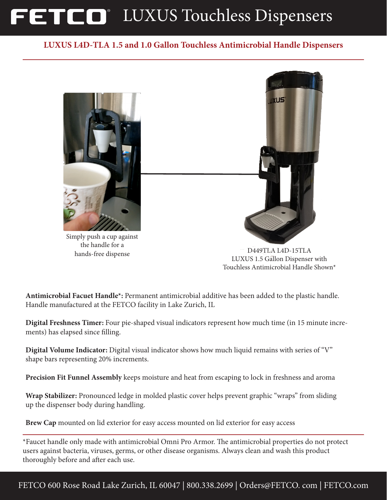# FETCO<sup>®</sup> LUXUS Touchless Dispensers

#### **LUXUS L4D-TLA 1.5 and 1.0 Gallon Touchless Antimicrobial Handle Dispensers**



D449TLA L4D-15TLA LUXUS 1.5 Gallon Dispenser with Touchless Antimicrobial Handle Shown\*

**Antimicrobial Facuet Handle\*:** Permanent antimicrobial additive has been added to the plastic handle. Handle manufactured at the FETCO facility in Lake Zurich, IL

hands-free dispense

**Digital Freshness Timer:** Four pie-shaped visual indicators represent how much time (in 15 minute increments) has elapsed since filling.

**Digital Volume Indicator:** Digital visual indicator shows how much liquid remains with series of "V" shape bars representing 20% increments.

**Precision Fit Funnel Assembly** keeps moisture and heat from escaping to lock in freshness and aroma

**Wrap Stabilizer:** Pronounced ledge in molded plastic cover helps prevent graphic "wraps" from sliding up the dispenser body during handling.

**Brew Cap** mounted on lid exterior for easy access mounted on lid exterior for easy access

\*Faucet handle only made with antimicrobial Omni Pro Armor. The antimicrobial properties do not protect users against bacteria, viruses, germs, or other disease organisms. Always clean and wash this product thoroughly before and after each use.